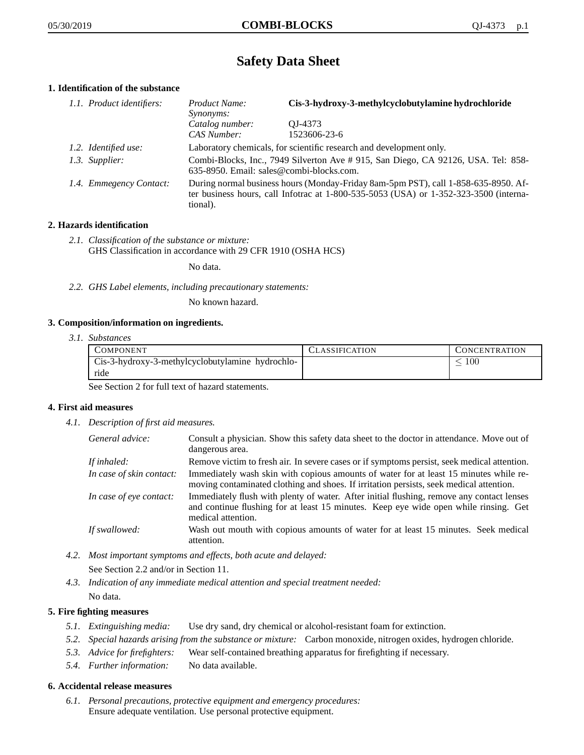# **Safety Data Sheet**

## **1. Identification of the substance**

| 1.1. Product identifiers: | Product Name:<br>Synonyms:                                                                                                                                                              | Cis-3-hydroxy-3-methylcyclobutylamine hydrochloride |
|---------------------------|-----------------------------------------------------------------------------------------------------------------------------------------------------------------------------------------|-----------------------------------------------------|
|                           | Catalog number:<br>CAS Number:                                                                                                                                                          | OJ-4373<br>1523606-23-6                             |
| 1.2. Identified use:      | Laboratory chemicals, for scientific research and development only.                                                                                                                     |                                                     |
| 1.3. Supplier:            | Combi-Blocks, Inc., 7949 Silverton Ave # 915, San Diego, CA 92126, USA. Tel: 858-<br>635-8950. Email: sales@combi-blocks.com.                                                           |                                                     |
| 1.4. Emmegency Contact:   | During normal business hours (Monday-Friday 8am-5pm PST), call 1-858-635-8950. Af-<br>ter business hours, call Infotrac at 1-800-535-5053 (USA) or 1-352-323-3500 (interna-<br>tional). |                                                     |

## **2. Hazards identification**

*2.1. Classification of the substance or mixture:* GHS Classification in accordance with 29 CFR 1910 (OSHA HCS)

No data.

*2.2. GHS Label elements, including precautionary statements:*

No known hazard.

## **3. Composition/information on ingredients.**

*3.1. Substances*

| <b>COMPONENT</b>                                 | CLASSIFICATION | <b>CONCENTRATION</b> |
|--------------------------------------------------|----------------|----------------------|
| Cis-3-hydroxy-3-methylcyclobutylamine hydrochlo- |                | 100                  |
| ride                                             |                |                      |

See Section 2 for full text of hazard statements.

## **4. First aid measures**

*4.1. Description of first aid measures.*

| General advice:          | Consult a physician. Show this safety data sheet to the doctor in attendance. Move out of<br>dangerous area.                                                                                            |
|--------------------------|---------------------------------------------------------------------------------------------------------------------------------------------------------------------------------------------------------|
| If inhaled:              | Remove victim to fresh air. In severe cases or if symptoms persist, seek medical attention.                                                                                                             |
| In case of skin contact: | Immediately wash skin with copious amounts of water for at least 15 minutes while re-<br>moving contaminated clothing and shoes. If irritation persists, seek medical attention.                        |
| In case of eye contact:  | Immediately flush with plenty of water. After initial flushing, remove any contact lenses<br>and continue flushing for at least 15 minutes. Keep eye wide open while rinsing. Get<br>medical attention. |
| If swallowed:            | Wash out mouth with copious amounts of water for at least 15 minutes. Seek medical<br>attention.                                                                                                        |

*4.2. Most important symptoms and effects, both acute and delayed:*

See Section 2.2 and/or in Section 11.

*4.3. Indication of any immediate medical attention and special treatment needed:* No data.

## **5. Fire fighting measures**

- *5.1. Extinguishing media:* Use dry sand, dry chemical or alcohol-resistant foam for extinction.
- *5.2. Special hazards arising from the substance or mixture:* Carbon monoxide, nitrogen oxides, hydrogen chloride.
- *5.3. Advice for firefighters:* Wear self-contained breathing apparatus for firefighting if necessary.
- *5.4. Further information:* No data available.

## **6. Accidental release measures**

*6.1. Personal precautions, protective equipment and emergency procedures:* Ensure adequate ventilation. Use personal protective equipment.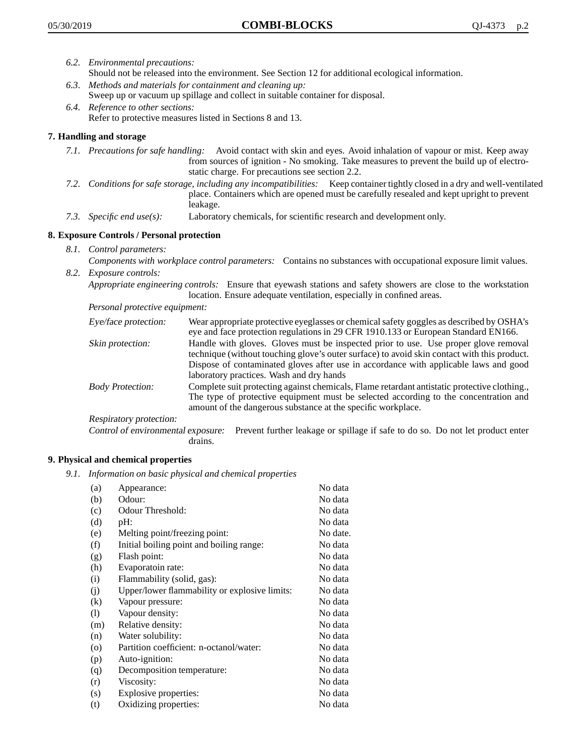- *6.2. Environmental precautions:* Should not be released into the environment. See Section 12 for additional ecological information.
- *6.3. Methods and materials for containment and cleaning up:* Sweep up or vacuum up spillage and collect in suitable container for disposal.
- *6.4. Reference to other sections:* Refer to protective measures listed in Sections 8 and 13.

## **7. Handling and storage**

- *7.1. Precautions for safe handling:* Avoid contact with skin and eyes. Avoid inhalation of vapour or mist. Keep away from sources of ignition - No smoking. Take measures to prevent the build up of electrostatic charge. For precautions see section 2.2.
- *7.2. Conditions for safe storage, including any incompatibilities:* Keep container tightly closed in a dry and well-ventilated place. Containers which are opened must be carefully resealed and kept upright to prevent leakage.
- *7.3. Specific end use(s):* Laboratory chemicals, for scientific research and development only.

## **8. Exposure Controls / Personal protection**

- *8.1. Control parameters:*
- *Components with workplace control parameters:* Contains no substances with occupational exposure limit values. *8.2. Exposure controls:*

*Appropriate engineering controls:* Ensure that eyewash stations and safety showers are close to the workstation location. Ensure adequate ventilation, especially in confined areas.

*Personal protective equipment:*

| Eye/face protection:    | Wear appropriate protective eyeglasses or chemical safety goggles as described by OSHA's<br>eye and face protection regulations in 29 CFR 1910.133 or European Standard EN166.                                                                                                                                         |
|-------------------------|------------------------------------------------------------------------------------------------------------------------------------------------------------------------------------------------------------------------------------------------------------------------------------------------------------------------|
| Skin protection:        | Handle with gloves. Gloves must be inspected prior to use. Use proper glove removal<br>technique (without touching glove's outer surface) to avoid skin contact with this product.<br>Dispose of contaminated gloves after use in accordance with applicable laws and good<br>laboratory practices. Wash and dry hands |
| <b>Body Protection:</b> | Complete suit protecting against chemicals, Flame retardant antistatic protective clothing.,<br>The type of protective equipment must be selected according to the concentration and<br>amount of the dangerous substance at the specific workplace.                                                                   |
| Respiratory protection: |                                                                                                                                                                                                                                                                                                                        |

Control of environmental exposure: Prevent further leakage or spillage if safe to do so. Do not let product enter drains.

## **9. Physical and chemical properties**

*9.1. Information on basic physical and chemical properties*

| (a)               | Appearance:                                   | No data  |
|-------------------|-----------------------------------------------|----------|
| (b)               | Odour:                                        | No data  |
| (c)               | Odour Threshold:                              | No data  |
| (d)               | pH:                                           | No data  |
| (e)               | Melting point/freezing point:                 | No date. |
| (f)               | Initial boiling point and boiling range:      | No data  |
| (g)               | Flash point:                                  | No data  |
| (h)               | Evaporatoin rate:                             | No data  |
| (i)               | Flammability (solid, gas):                    | No data  |
| (j)               | Upper/lower flammability or explosive limits: | No data  |
| $\left( k\right)$ | Vapour pressure:                              | No data  |
| (1)               | Vapour density:                               | No data  |
| (m)               | Relative density:                             | No data  |
| (n)               | Water solubility:                             | No data  |
| $\circ$           | Partition coefficient: n-octanol/water:       | No data  |
| (p)               | Auto-ignition:                                | No data  |
| (q)               | Decomposition temperature:                    | No data  |
| (r)               | Viscosity:                                    | No data  |
| (s)               | Explosive properties:                         | No data  |
| (t)               | Oxidizing properties:                         | No data  |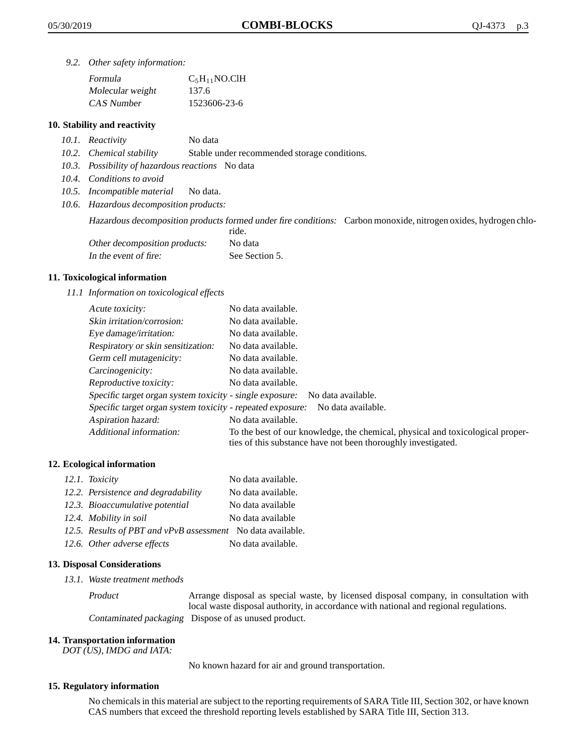*9.2. Other safety information:*

| Formula          | $C_5H_{11}NO$ .ClH |
|------------------|--------------------|
| Molecular weight | 137.6              |
| CAS Number       | 1523606-23-6       |

## **10. Stability and reactivity**

- *10.1. Reactivity* No data
- *10.2. Chemical stability* Stable under recommended storage conditions.
- *10.3. Possibility of hazardous reactions* No data
- *10.4. Conditions to avoid*
- *10.5. Incompatible material* No data.
- *10.6. Hazardous decomposition products:*

Hazardous decomposition products formed under fire conditions: Carbon monoxide, nitrogen oxides, hydrogen chlo-

|                               | ride.          |
|-------------------------------|----------------|
| Other decomposition products: | No data        |
| In the event of fire:         | See Section 5. |

## **11. Toxicological information**

*11.1 Information on toxicological effects*

| Acute toxicity:                                            | No data available.                                                                                                                              |
|------------------------------------------------------------|-------------------------------------------------------------------------------------------------------------------------------------------------|
| Skin irritation/corrosion:                                 | No data available.                                                                                                                              |
| Eye damage/irritation:                                     | No data available.                                                                                                                              |
| Respiratory or skin sensitization:                         | No data available.                                                                                                                              |
| Germ cell mutagenicity:                                    | No data available.                                                                                                                              |
| Carcinogenicity:                                           | No data available.                                                                                                                              |
| Reproductive toxicity:                                     | No data available.                                                                                                                              |
| Specific target organ system toxicity - single exposure:   | No data available.                                                                                                                              |
| Specific target organ system toxicity - repeated exposure: | No data available.                                                                                                                              |
| Aspiration hazard:                                         | No data available.                                                                                                                              |
| Additional information:                                    | To the best of our knowledge, the chemical, physical and toxicological proper-<br>ties of this substance have not been thoroughly investigated. |

## **12. Ecological information**

| 12.1. Toxicity                                              | No data available. |
|-------------------------------------------------------------|--------------------|
| 12.2. Persistence and degradability                         | No data available. |
| 12.3. Bioaccumulative potential                             | No data available  |
| 12.4. Mobility in soil                                      | No data available  |
| 12.5. Results of PBT and vPvB assessment No data available. |                    |
| 12.6. Other adverse effects                                 | No data available. |

#### **13. Disposal Considerations**

*13.1. Waste treatment methods*

Product Arrange disposal as special waste, by licensed disposal company, in consultation with local waste disposal authority, in accordance with national and regional regulations. Contaminated packaging Dispose of as unused product.

#### **14. Transportation information**

*DOT (US), IMDG and IATA:*

No known hazard for air and ground transportation.

### **15. Regulatory information**

No chemicals in this material are subject to the reporting requirements of SARA Title III, Section 302, or have known CAS numbers that exceed the threshold reporting levels established by SARA Title III, Section 313.